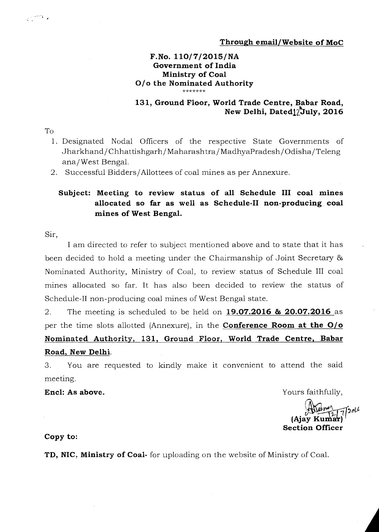## **F.No. 110/7/2015/NA Government of India Ministry of Coal O/o the Nominated Authority**

## **131, Ground Floor, World Trade Centre, Babar Road,**  New Delhi, Dated<sup>1</sup>/July, 2016

To

 $\overline{\left\langle \cdot \right\rangle}^{\alpha}$  ,

- 1. Designated Nodal Officers of the respective State Governments of Jharkhand/ Chhattishgarh/ Maharashtra/ MadhyaPradesh/ Odisha/ Teleng ana/ West Bengal.
- 2. Successful Bidders/Allottees of coal mines as per Annexure.

## **Subject: Meeting to review status of all Schedule III coal mines allocated so far as well as Schedule-II non-producing coal mines of West Bengal.**

Sir,

I am directed to refer to subject mentioned above and to state that it has been decided to hold a meeting under the Chairmanship of Joint Secretary & Nominated Authority, Ministry of Coal, to review status of Schedule III coal mines allocated so far. It has also been decided to review the status of Schedule-II non-producing coal mines of West Bengal state.

2. The meeting is scheduled to be held on **19.07.2016 as 20.07.2016** as per the time slots allotted (Annexure), in the **Conference Room at the O/o Nominated Authority, 131, Ground Floor, World Trade Centre, Babar Road, New Delhi.** 

3. You are requested to kindly make it convenient to attend the said meeting.

**Encl:** As above. **Encl:** As above.

2ol $\mu$ **(Ajay Kumar Section Officer** 

**Copy to:** 

**TD, NIC, Ministry of Coal-** for uploading on the website of Ministry of Coal.